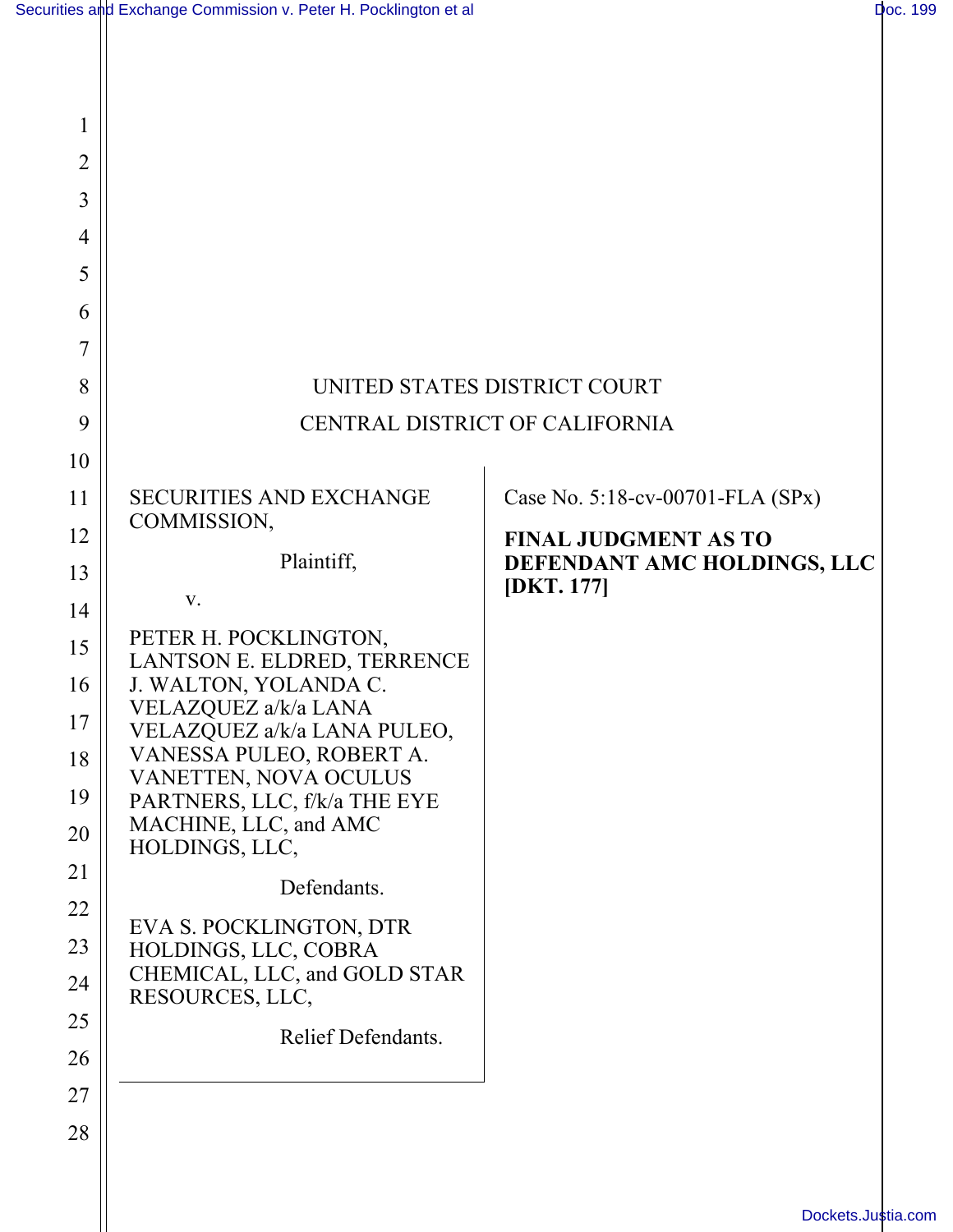| 1              |                                                      |                                                            |
|----------------|------------------------------------------------------|------------------------------------------------------------|
| $\overline{2}$ |                                                      |                                                            |
| 3              |                                                      |                                                            |
| 4              |                                                      |                                                            |
| 5              |                                                      |                                                            |
| 6              |                                                      |                                                            |
| 7              |                                                      |                                                            |
| 8              | UNITED STATES DISTRICT COURT                         |                                                            |
| 9              | CENTRAL DISTRICT OF CALIFORNIA                       |                                                            |
| 10             |                                                      |                                                            |
| 11             | <b>SECURITIES AND EXCHANGE</b><br>COMMISSION,        | Case No. 5:18-cv-00701-FLA (SPx)                           |
| 12<br>13       | Plaintiff,                                           | <b>FINAL JUDGMENT AS TO</b><br>DEFENDANT AMC HOLDINGS, LLC |
| 14             | V.                                                   | [DKT. 177]                                                 |
| 15             | PETER H. POCKLINGTON,<br>LANTSON E. ELDRED, TERRENCE |                                                            |
| 16             | J. WALTON, YOLANDA C.                                |                                                            |
| 17             | VELAZQUEZ a/k/a LANA<br>VELAZQUEZ a/k/a LANA PULEO,  |                                                            |
| 18             | VANESSA PULEO, ROBERT A.<br>VANETTEN, NOVA OCULUS    |                                                            |
| 19             | PARTNERS, LLC, f/k/a THE EYE                         |                                                            |
| 20             | MACHINE, LLC, and AMC<br>HOLDINGS, LLC,              |                                                            |
| 21             | Defendants.                                          |                                                            |
| 22             | EVA S. POCKLINGTON, DTR                              |                                                            |
| 23             | HOLDINGS, LLC, COBRA<br>CHEMICAL, LLC, and GOLD STAR |                                                            |
| 24             | RESOURCES, LLC,                                      |                                                            |
| 25             | Relief Defendants.                                   |                                                            |
| 26             |                                                      |                                                            |
| 27<br>28       |                                                      |                                                            |
|                |                                                      |                                                            |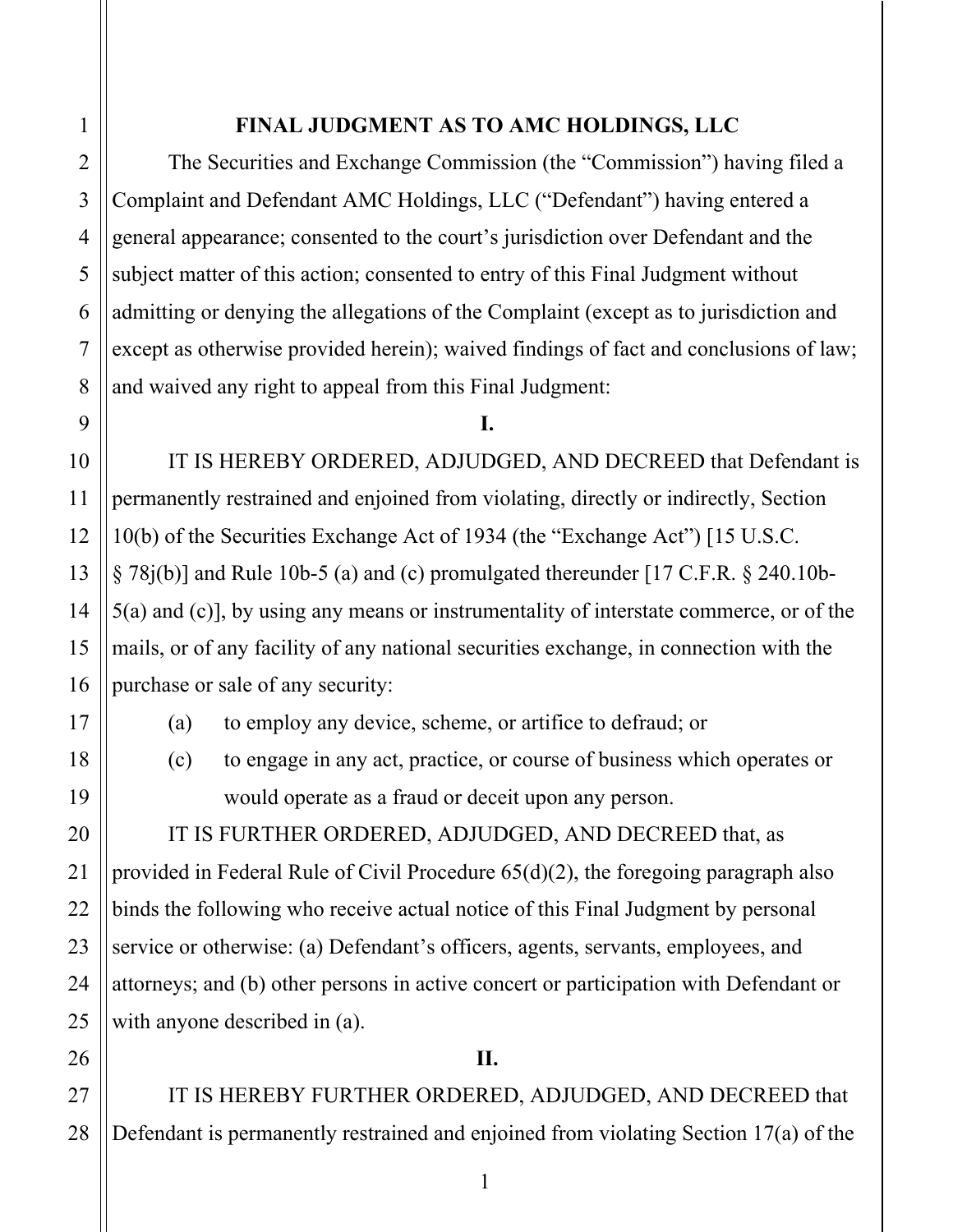27

28

## **FINAL JUDGMENT AS TO AMC HOLDINGS, LLC**

The Securities and Exchange Commission (the "Commission") having filed a Complaint and Defendant AMC Holdings, LLC ("Defendant") having entered a general appearance; consented to the court's jurisdiction over Defendant and the subject matter of this action; consented to entry of this Final Judgment without admitting or denying the allegations of the Complaint (except as to jurisdiction and except as otherwise provided herein); waived findings of fact and conclusions of law; and waived any right to appeal from this Final Judgment:

## **I.**

 IT IS HEREBY ORDERED, ADJUDGED, AND DECREED that Defendant is permanently restrained and enjoined from violating, directly or indirectly, Section 10(b) of the Securities Exchange Act of 1934 (the "Exchange Act") [15 U.S.C.  $\S 78i(b)$ ] and Rule 10b-5 (a) and (c) promulgated thereunder [17 C.F.R.  $\S 240.10b-$ 5(a) and (c)], by using any means or instrumentality of interstate commerce, or of the mails, or of any facility of any national securities exchange, in connection with the purchase or sale of any security:

(a) to employ any device, scheme, or artifice to defraud; or

(c) to engage in any act, practice, or course of business which operates or would operate as a fraud or deceit upon any person.

 IT IS FURTHER ORDERED, ADJUDGED, AND DECREED that, as provided in Federal Rule of Civil Procedure 65(d)(2), the foregoing paragraph also binds the following who receive actual notice of this Final Judgment by personal service or otherwise: (a) Defendant's officers, agents, servants, employees, and attorneys; and (b) other persons in active concert or participation with Defendant or with anyone described in (a).

**II.** 

 IT IS HEREBY FURTHER ORDERED, ADJUDGED, AND DECREED that Defendant is permanently restrained and enjoined from violating Section 17(a) of the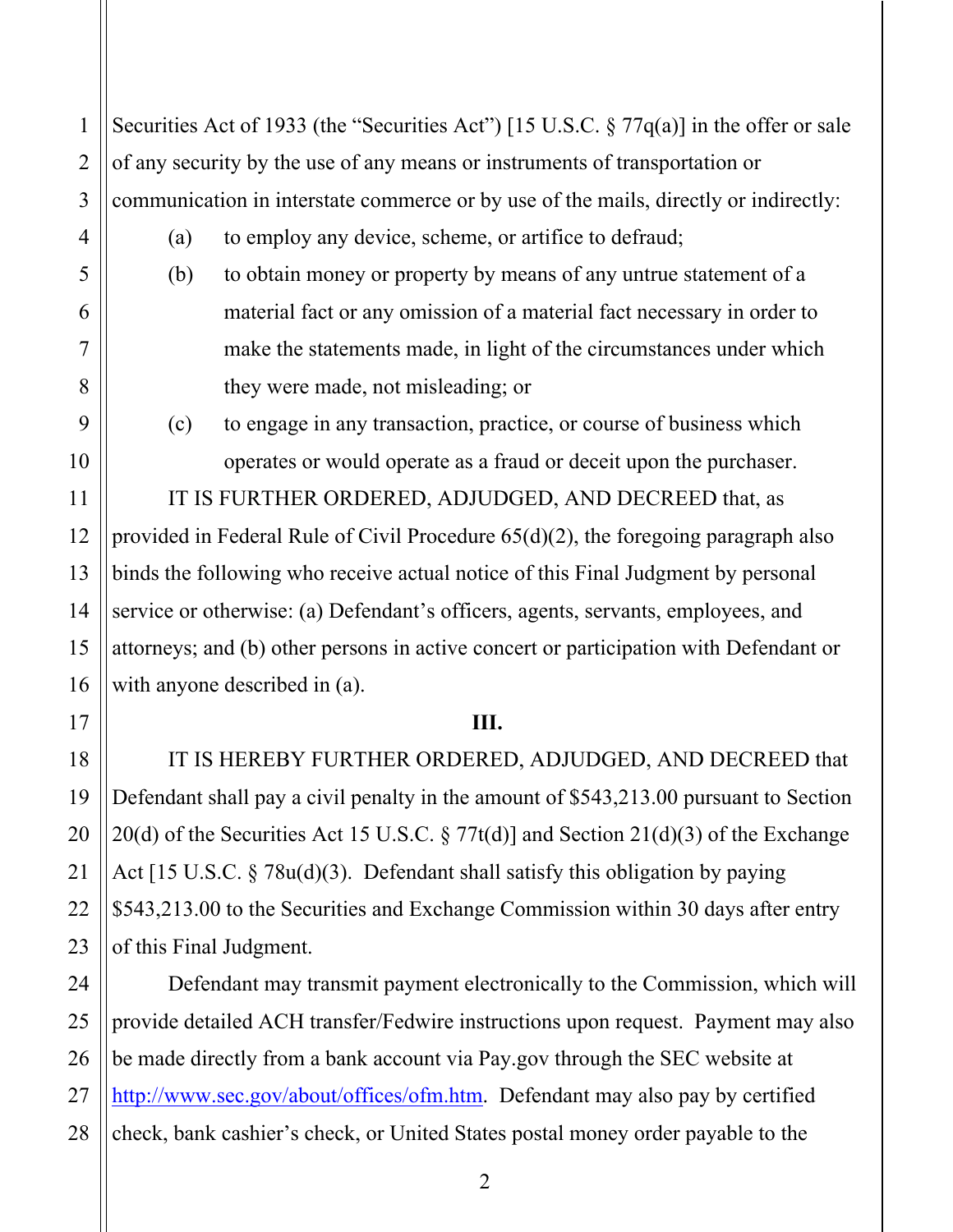Securities Act of 1933 (the "Securities Act") [15 U.S.C.  $\S 77q(a)$ ] in the offer or sale of any security by the use of any means or instruments of transportation or communication in interstate commerce or by use of the mails, directly or indirectly:

- (a) to employ any device, scheme, or artifice to defraud;
- (b) to obtain money or property by means of any untrue statement of a material fact or any omission of a material fact necessary in order to make the statements made, in light of the circumstances under which they were made, not misleading; or
- (c) to engage in any transaction, practice, or course of business which operates or would operate as a fraud or deceit upon the purchaser.

 IT IS FURTHER ORDERED, ADJUDGED, AND DECREED that, as provided in Federal Rule of Civil Procedure 65(d)(2), the foregoing paragraph also binds the following who receive actual notice of this Final Judgment by personal service or otherwise: (a) Defendant's officers, agents, servants, employees, and attorneys; and (b) other persons in active concert or participation with Defendant or with anyone described in (a).

## **III.**

IT IS HEREBY FURTHER ORDERED, ADJUDGED, AND DECREED that Defendant shall pay a civil penalty in the amount of \$543,213.00 pursuant to Section 20(d) of the Securities Act 15 U.S.C.  $\S 77t(d)$  and Section 21(d)(3) of the Exchange Act [15 U.S.C. § 78u(d)(3). Defendant shall satisfy this obligation by paying \$543,213.00 to the Securities and Exchange Commission within 30 days after entry of this Final Judgment.

Defendant may transmit payment electronically to the Commission, which will provide detailed ACH transfer/Fedwire instructions upon request. Payment may also be made directly from a bank account via Pay.gov through the SEC website at http://www.sec.gov/about/offices/ofm.htm. Defendant may also pay by certified check, bank cashier's check, or United States postal money order payable to the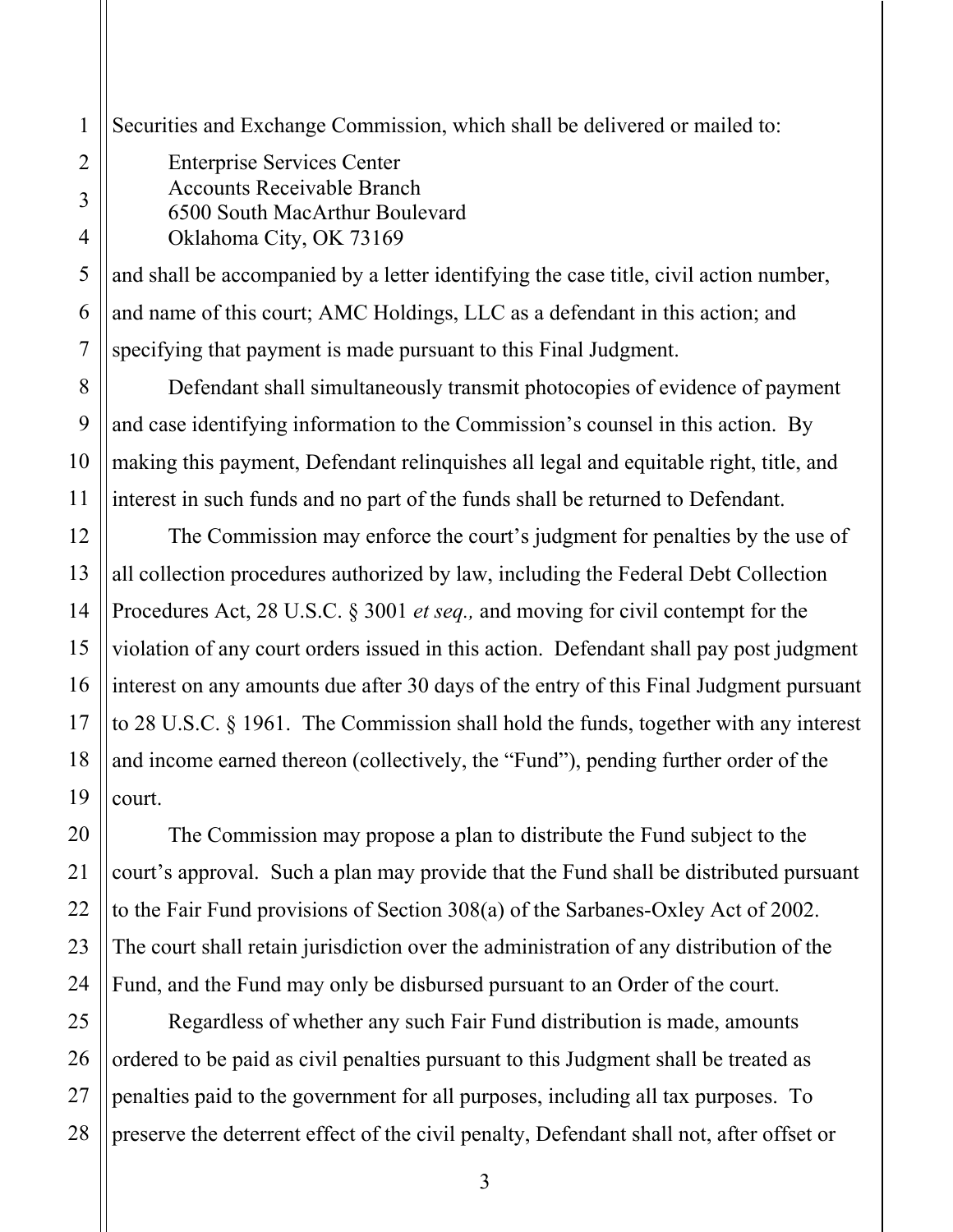Securities and Exchange Commission, which shall be delivered or mailed to:

Enterprise Services Center Accounts Receivable Branch 6500 South MacArthur Boulevard Oklahoma City, OK 73169

and shall be accompanied by a letter identifying the case title, civil action number, and name of this court; AMC Holdings, LLC as a defendant in this action; and specifying that payment is made pursuant to this Final Judgment.

Defendant shall simultaneously transmit photocopies of evidence of payment and case identifying information to the Commission's counsel in this action. By making this payment, Defendant relinquishes all legal and equitable right, title, and interest in such funds and no part of the funds shall be returned to Defendant.

The Commission may enforce the court's judgment for penalties by the use of all collection procedures authorized by law, including the Federal Debt Collection Procedures Act, 28 U.S.C. § 3001 *et seq.,* and moving for civil contempt for the violation of any court orders issued in this action. Defendant shall pay post judgment interest on any amounts due after 30 days of the entry of this Final Judgment pursuant to 28 U.S.C. § 1961. The Commission shall hold the funds, together with any interest and income earned thereon (collectively, the "Fund"), pending further order of the court.

The Commission may propose a plan to distribute the Fund subject to the court's approval. Such a plan may provide that the Fund shall be distributed pursuant to the Fair Fund provisions of Section 308(a) of the Sarbanes-Oxley Act of 2002. The court shall retain jurisdiction over the administration of any distribution of the Fund, and the Fund may only be disbursed pursuant to an Order of the court.

Regardless of whether any such Fair Fund distribution is made, amounts ordered to be paid as civil penalties pursuant to this Judgment shall be treated as penalties paid to the government for all purposes, including all tax purposes. To preserve the deterrent effect of the civil penalty, Defendant shall not, after offset or

1